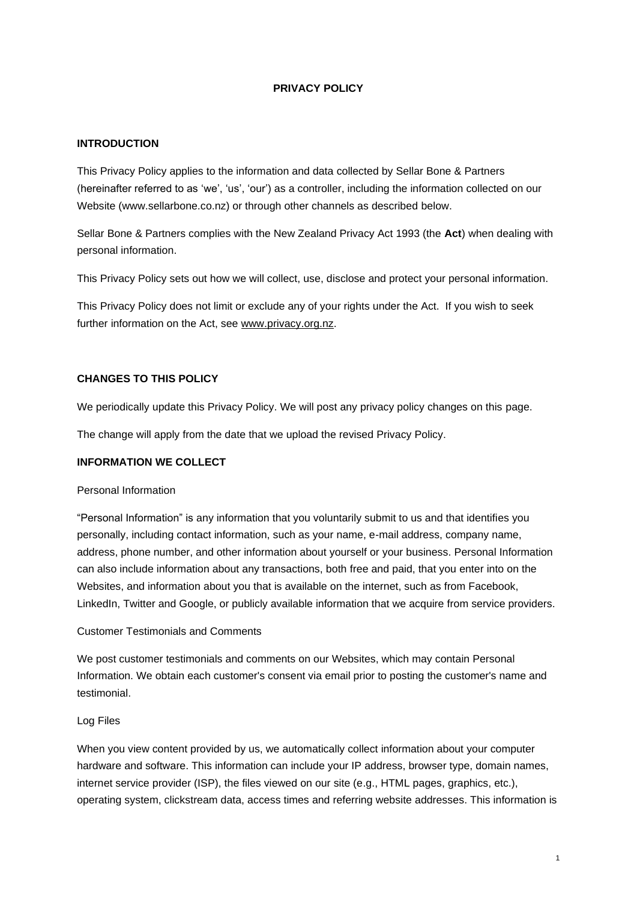# **PRIVACY POLICY**

#### **INTRODUCTION**

This Privacy Policy applies to the information and data collected by Sellar Bone & Partners (hereinafter referred to as 'we', 'us', 'our') as a controller, including the information collected on our Website (www.sellarbone.co.nz) or through other channels as described below.

Sellar Bone & Partners complies with the New Zealand Privacy Act 1993 (the **Act**) when dealing with personal information.

This Privacy Policy sets out how we will collect, use, disclose and protect your personal information.

This Privacy Policy does not limit or exclude any of your rights under the Act. If you wish to seek further information on the Act, see www.privacy.org.nz.

## **CHANGES TO THIS POLICY**

We periodically update this Privacy Policy. We will post any privacy policy changes on this page.

The change will apply from the date that we upload the revised Privacy Policy.

## **INFORMATION WE COLLECT**

#### Personal Information

"Personal Information" is any information that you voluntarily submit to us and that identifies you personally, including contact information, such as your name, e-mail address, company name, address, phone number, and other information about yourself or your business. Personal Information can also include information about any transactions, both free and paid, that you enter into on the Websites, and information about you that is available on the internet, such as from Facebook, LinkedIn, Twitter and Google, or publicly available information that we acquire from service providers.

# Customer Testimonials and Comments

We post customer testimonials and comments on our Websites, which may contain Personal Information. We obtain each customer's consent via email prior to posting the customer's name and testimonial.

#### Log Files

When you view content provided by us, we automatically collect information about your computer hardware and software. This information can include your IP address, browser type, domain names, internet service provider (ISP), the files viewed on our site (e.g., HTML pages, graphics, etc.), operating system, clickstream data, access times and referring website addresses. This information is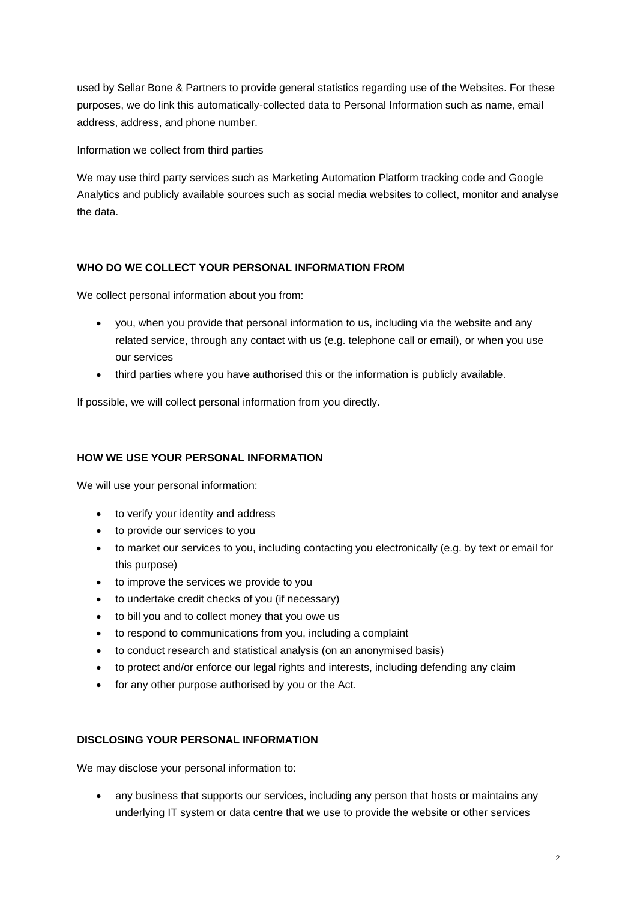used by Sellar Bone & Partners to provide general statistics regarding use of the Websites. For these purposes, we do link this automatically-collected data to Personal Information such as name, email address, address, and phone number.

Information we collect from third parties

We may use third party services such as Marketing Automation Platform tracking code and Google Analytics and publicly available sources such as social media websites to collect, monitor and analyse the data.

# **WHO DO WE COLLECT YOUR PERSONAL INFORMATION FROM**

We collect personal information about you from:

- you, when you provide that personal information to us, including via the website and any related service, through any contact with us (e.g. telephone call or email), or when you use our services
- third parties where you have authorised this or the information is publicly available.

If possible, we will collect personal information from you directly.

# **HOW WE USE YOUR PERSONAL INFORMATION**

We will use your personal information:

- to verify your identity and address
- to provide our services to you
- to market our services to you, including contacting you electronically (e.g. by text or email for this purpose)
- to improve the services we provide to you
- to undertake credit checks of you (if necessary)
- to bill you and to collect money that you owe us
- to respond to communications from you, including a complaint
- to conduct research and statistical analysis (on an anonymised basis)
- to protect and/or enforce our legal rights and interests, including defending any claim
- for any other purpose authorised by you or the Act.

# **DISCLOSING YOUR PERSONAL INFORMATION**

We may disclose your personal information to:

• any business that supports our services, including any person that hosts or maintains any underlying IT system or data centre that we use to provide the website or other services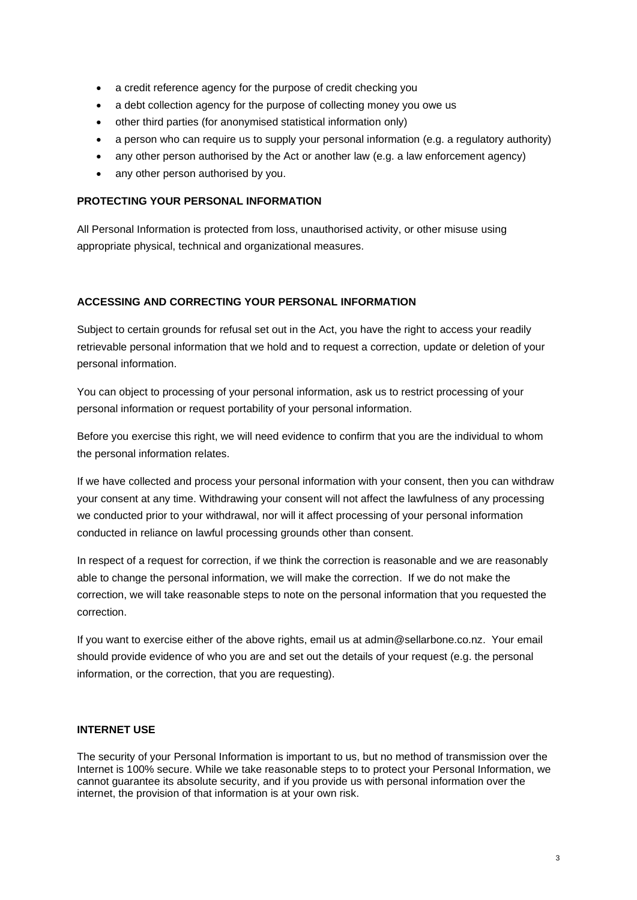- a credit reference agency for the purpose of credit checking you
- a debt collection agency for the purpose of collecting money you owe us
- other third parties (for anonymised statistical information only)
- a person who can require us to supply your personal information (e.g. a regulatory authority)
- any other person authorised by the Act or another law (e.g. a law enforcement agency)
- any other person authorised by you.

# **PROTECTING YOUR PERSONAL INFORMATION**

All Personal Information is protected from loss, unauthorised activity, or other misuse using appropriate physical, technical and organizational measures.

# **ACCESSING AND CORRECTING YOUR PERSONAL INFORMATION**

Subject to certain grounds for refusal set out in the Act, you have the right to access your readily retrievable personal information that we hold and to request a correction, update or deletion of your personal information.

You can object to processing of your personal information, ask us to restrict processing of your personal information or request portability of your personal information.

Before you exercise this right, we will need evidence to confirm that you are the individual to whom the personal information relates.

If we have collected and process your personal information with your consent, then you can withdraw your consent at any time. Withdrawing your consent will not affect the lawfulness of any processing we conducted prior to your withdrawal, nor will it affect processing of your personal information conducted in reliance on lawful processing grounds other than consent.

In respect of a request for correction, if we think the correction is reasonable and we are reasonably able to change the personal information, we will make the correction. If we do not make the correction, we will take reasonable steps to note on the personal information that you requested the correction.

If you want to exercise either of the above rights, email us at admin@sellarbone.co.nz. Your email should provide evidence of who you are and set out the details of your request (e.g. the personal information, or the correction, that you are requesting).

## **INTERNET USE**

The security of your Personal Information is important to us, but no method of transmission over the Internet is 100% secure. While we take reasonable steps to to protect your Personal Information, we cannot guarantee its absolute security, and if you provide us with personal information over the internet, the provision of that information is at your own risk.